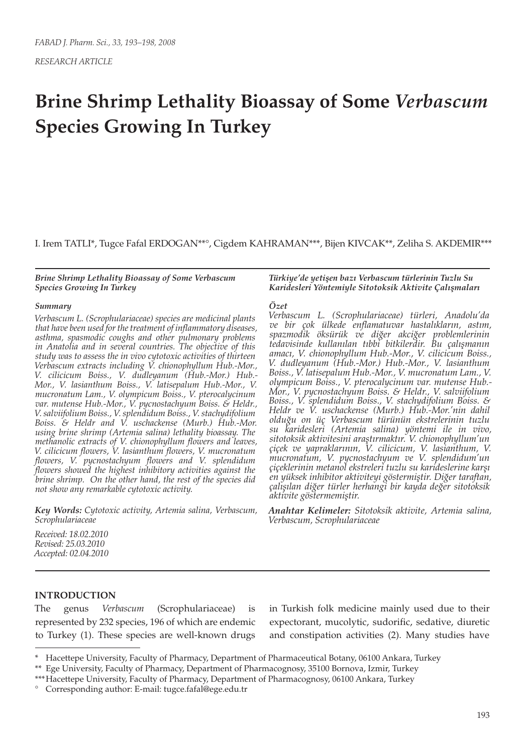*RESEARCH ARTICLE*

# **Brine Shrimp Lethality Bioassay of Some** *Verbascum* **Species Growing In Turkey**

I. Irem TATLI\*, Tugce Fafal ERDOGAN\*\*°, Cigdem KAHRAMAN\*\*\*, Bijen KIVCAK\*\*, Zeliha S. AKDEMIR\*\*\*

*Brine Shrimp Lethality Bioassay of Some Verbascum Species Growing In Turkey*

#### *Summary*

*Verbascum L. (Scrophulariaceae) species are medicinal plants that have been used for the treatment of inflammatory diseases, asthma, spasmodic coughs and other pulmonary problems in Anatolia and in several countries. The objective of this study was to assess the in vivo cytotoxic activities of thirteen Verbascum extracts including V. chionophyllum Hub.-Mor., V. cilicicum Boiss., V. dudleyanum (Hub.-Mor.) Hub.- Mor., V. lasianthum Boiss., V. latisepalum Hub.-Mor., V. mucronatum Lam., V. olympicum Boiss., V. pterocalycinum var. mutense Hub.-Mor., V. pycnostachyum Boiss. & Heldr., V. salviifolium Boiss., V. splendidum Boiss., V. stachydifolium Boiss. & Heldr and V. uschackense (Murb.) Hub.-Mor. using brine shrimp (Artemia salina) lethality bioassay. The methanolic extracts of V. chionophyllum flowers and leaves, V. cilicicum flowers, V. lasianthum flowers, V. mucronatum flowers, V. pycnostachyum flowers and V. splendidum flowers showed the highest inhibitory activities against the brine shrimp. On the other hand, the rest of the species did not show any remarkable cytotoxic activity.* 

*Key Words: Cytotoxic activity, Artemia salina, Verbascum, Scrophulariaceae* 

*Türkiye'de yetişen bazı Verbascum türlerinin Tuzlu Su Karidesleri Yöntemiyle Sitotoksik Aktivite Çalışmaları*

#### *Özet*

*Verbascum L. (Scrophulariaceae) türleri, Anadolu'da ve bir çok ülkede enflamatuvar hastalıkların, astım, spazmodik öksürük ve diğer akciğer problemlerinin tedavisinde kullanılan tıbbi bitkilerdir. Bu çalışmanın amacı, V. chionophyllum Hub.-Mor., V. cilicicum Boiss., V. dudleyanum (Hub.-Mor.) Hub.-Mor., V. lasianthum Boiss., V. latisepalum Hub.-Mor., V. mucronatum Lam., V. olympicum Boiss., V. pterocalycinum var. mutense Hub.- Mor., V. pycnostachyum Boiss. & Heldr., V. salviifolium Boiss., V. splendidum Boiss., V. stachydifolium Boiss. & Heldr ve V. uschackense (Murb.) Hub.-Mor.'nin dahil olduğu on üç Verbascum türünün ekstrelerinin tuzlu su karidesleri (Artemia salina) yöntemi ile in vivo, sitotoksik aktivitesini araştırmaktır. V. chionophyllum'un çiçek ve yapraklarının, V. cilicicum, V. lasianthum, V. mucronatum, V. pycnostachyum ve V. splendidum'un çiçeklerinin metanol ekstreleri tuzlu su karideslerine karşı en yüksek inhibitor aktiviteyi göstermiştir. Diğer taraftan, çalışılan diğer türler herhangi bir kayda değer sitotoksik aktivite göstermemiştir.*

*Anahtar Kelimeler: Sitotoksik aktivite, Artemia salina, Verbascum, Scrophulariaceae*

*Received: 18.02.2010 Revised: 25.03.2010 Accepted: 02.04.2010*

#### **INTRODUCTION**

The genus *Verbascum* (Scrophulariaceae) is represented by 232 species, 196 of which are endemic to Turkey (1). These species are well-known drugs in Turkish folk medicine mainly used due to their expectorant, mucolytic, sudorific, sedative, diuretic and constipation activities (2). Many studies have

<sup>\*</sup> Hacettepe University, Faculty of Pharmacy, Department of Pharmaceutical Botany, 06100 Ankara, Turkey

<sup>\*\*</sup> Ege University, Faculty of Pharmacy, Department of Pharmacognosy, 35100 Bornova, Izmir, Turkey

<sup>\*\*\*</sup>Hacettepe University, Faculty of Pharmacy, Department of Pharmacognosy, 06100 Ankara, Turkey

<sup>°</sup> Corresponding author: E-mail: tugce.fafal@ege.edu.tr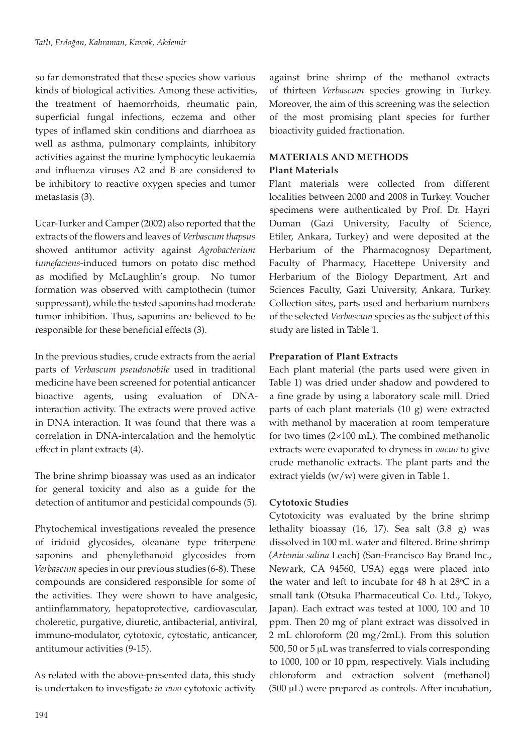so far demonstrated that these species show various kinds of biological activities. Among these activities, the treatment of haemorrhoids, rheumatic pain, superficial fungal infections, eczema and other types of inflamed skin conditions and diarrhoea as well as asthma, pulmonary complaints, inhibitory activities against the murine lymphocytic leukaemia and influenza viruses A2 and B are considered to be inhibitory to reactive oxygen species and tumor metastasis (3).

Ucar-Turker and Camper (2002) also reported that the extracts of the flowers and leaves of *Verbascum thapsus* showed antitumor activity against *Agrobacterium tumefaciens*-induced tumors on potato disc method as modified by McLaughlin's group. No tumor formation was observed with camptothecin (tumor suppressant), while the tested saponins had moderate tumor inhibition. Thus, saponins are believed to be responsible for these beneficial effects (3).

In the previous studies, crude extracts from the aerial parts of *Verbascum pseudonobile* used in traditional medicine have been screened for potential anticancer bioactive agents, using evaluation of DNAinteraction activity. The extracts were proved active in DNA interaction. It was found that there was a correlation in DNA-intercalation and the hemolytic effect in plant extracts (4).

The brine shrimp bioassay was used as an indicator for general toxicity and also as a guide for the detection of antitumor and pesticidal compounds (5).

Phytochemical investigations revealed the presence of iridoid glycosides, oleanane type triterpene saponins and phenylethanoid glycosides from *Verbascum* species in our previous studies (6-8). These compounds are considered responsible for some of the activities. They were shown to have analgesic, antiinflammatory, hepatoprotective, cardiovascular, choleretic, purgative, diuretic, antibacterial, antiviral, immuno-modulator, cytotoxic, cytostatic, anticancer, antitumour activities (9-15).

As related with the above-presented data, this study is undertaken to investigate *in vivo* cytotoxic activity

against brine shrimp of the methanol extracts of thirteen *Verbascum* species growing in Turkey. Moreover, the aim of this screening was the selection of the most promising plant species for further bioactivity guided fractionation.

## **MATERIALS AND METHODS**

## **Plant Materials**

Plant materials were collected from different localities between 2000 and 2008 in Turkey. Voucher specimens were authenticated by Prof. Dr. Hayri Duman (Gazi University, Faculty of Science, Etiler, Ankara, Turkey) and were deposited at the Herbarium of the Pharmacognosy Department, Faculty of Pharmacy, Hacettepe University and Herbarium of the Biology Department, Art and Sciences Faculty, Gazi University, Ankara, Turkey. Collection sites, parts used and herbarium numbers of the selected *Verbascum* species as the subject of this study are listed in Table 1.

## **Preparation of Plant Extracts**

Each plant material (the parts used were given in Table 1) was dried under shadow and powdered to a fine grade by using a laboratory scale mill. Dried parts of each plant materials (10 g) were extracted with methanol by maceration at room temperature for two times (2×100 mL). The combined methanolic extracts were evaporated to dryness in *vacuo* to give crude methanolic extracts. The plant parts and the extract yields (w/w) were given in Table 1.

## **Cytotoxic Studies**

Cytotoxicity was evaluated by the brine shrimp lethality bioassay (16, 17). Sea salt (3.8 g) was dissolved in 100 mL water and filtered. Brine shrimp (*Artemia salina* Leach) (San-Francisco Bay Brand Inc., Newark, CA 94560, USA) eggs were placed into the water and left to incubate for  $48$  h at  $28^{\circ}$ C in a small tank (Otsuka Pharmaceutical Co. Ltd., Tokyo, Japan). Each extract was tested at 1000, 100 and 10 ppm. Then 20 mg of plant extract was dissolved in 2 mL chloroform (20 mg/2mL). From this solution  $500$ ,  $50$  or  $5 \mu$ L was transferred to vials corresponding to 1000, 100 or 10 ppm, respectively. Vials including chloroform and extraction solvent (methanol)  $(500 \mu L)$  were prepared as controls. After incubation,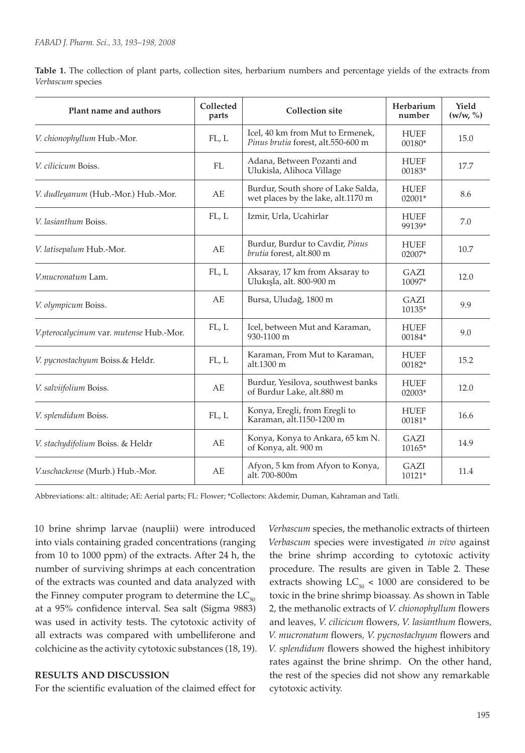**Table 1.** The collection of plant parts, collection sites, herbarium numbers and percentage yields of the extracts from *Verbascum* species

| Plant name and authors                  | Collected<br>parts | <b>Collection site</b>                                                                          | Herbarium<br>number   | Yield<br>(w/w, %) |
|-----------------------------------------|--------------------|-------------------------------------------------------------------------------------------------|-----------------------|-------------------|
| V. chionophyllum Hub.-Mor.              | FL, L              | Icel, 40 km from Mut to Ermenek,<br><b>HUEF</b><br>Pinus brutia forest, alt.550-600 m<br>00180* |                       | 15.0              |
| V. cilicicum Boiss.                     | FL                 | Adana, Between Pozanti and<br>Ulukisla, Alihoca Village                                         | <b>HUEF</b><br>00183* | 17.7              |
| V. dudleyanum (Hub.-Mor.) Hub.-Mor.     | AE                 | Burdur, South shore of Lake Salda,<br>wet places by the lake, alt.1170 m                        | <b>HUEF</b><br>02001* | 8.6               |
| V. lasianthum Boiss.                    | FL, L              | Izmir, Urla, Ucahirlar                                                                          | <b>HUEF</b><br>99139* | 7.0               |
| V. latisepalum Hub.-Mor.                | AE                 | Burdur, Burdur to Cavdir, Pinus<br>brutia forest, alt.800 m                                     | <b>HUEF</b><br>02007* | 10.7              |
| V.mucronatum Lam.                       | FL, L              | Aksaray, 17 km from Aksaray to<br>Ulukışla, alt. 800-900 m                                      | GAZI<br>10097*        | 12.0              |
| V. olympicum Boiss.                     | AE                 | Bursa, Uludağ, 1800 m                                                                           | GAZI<br>10135*        | 9.9               |
| V.pterocalycinum var. mutense Hub.-Mor. | FL, L              | Icel, between Mut and Karaman,<br>$930 - 1100$ m                                                | <b>HUEF</b><br>00184* | 9.0               |
| V. pycnostachyum Boiss.& Heldr.         | FL, L              | Karaman, From Mut to Karaman,<br>alt.1300 m                                                     | <b>HUEF</b><br>00182* | 15.2              |
| V. salviifolium Boiss.                  | AE                 | Burdur, Yesilova, southwest banks<br>of Burdur Lake, alt.880 m                                  | <b>HUEF</b><br>02003* | 12.0              |
| V. splendidum Boiss.                    | FL, L              | Konya, Eregli, from Eregli to<br><b>HUEF</b><br>Karaman, alt.1150-1200 m<br>00181*              |                       | 16.6              |
| V. stachydifolium Boiss. & Heldr        | AE                 | Konya, Konya to Ankara, 65 km N.<br>of Konya, alt. 900 m                                        | GAZI<br>10165*        | 14.9              |
| V.uschackense (Murb.) Hub.-Mor.         | AE                 | Afyon, 5 km from Afyon to Konya,<br>GAZI<br>alt. 700-800m<br>10121*                             |                       | 11.4              |

Abbreviations: alt.: altitude; AE: Aerial parts; FL: Flower; \*Collectors: Akdemir, Duman, Kahraman and Tatli.

10 brine shrimp larvae (nauplii) were introduced into vials containing graded concentrations (ranging from 10 to 1000 ppm) of the extracts. After 24 h, the number of surviving shrimps at each concentration of the extracts was counted and data analyzed with the Finney computer program to determine the  $LC_{50}$ at a 95% confidence interval. Sea salt (Sigma 9883) was used in activity tests. The cytotoxic activity of all extracts was compared with umbelliferone and colchicine as the activity cytotoxic substances (18, 19).

#### **RESULTS AND DISCUSSION**

For the scientific evaluation of the claimed effect for

*Verbascum* species, the methanolic extracts of thirteen *Verbascum* species were investigated *in vivo* against the brine shrimp according to cytotoxic activity procedure. The results are given in Table 2. These extracts showing  $LC_{50}$  < 1000 are considered to be toxic in the brine shrimp bioassay. As shown in Table 2, the methanolic extracts of *V. chionophyllum* flowers and leaves*, V. cilicicum* flowers*, V. lasianthum* flowers*, V. mucronatum* flowers*, V. pycnostachyum* flowers and *V. splendidum* flowers showed the highest inhibitory rates against the brine shrimp. On the other hand, the rest of the species did not show any remarkable cytotoxic activity.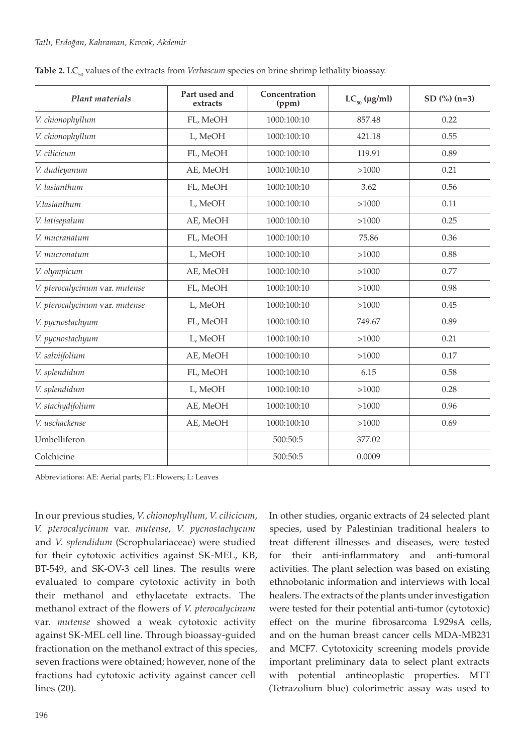| Plant materials                | Part used and<br>extracts | Concentration<br>(ppm) | $LC_{50}$ (µg/ml) | SD $(\frac{6}{6})$ $(n=3)$ |
|--------------------------------|---------------------------|------------------------|-------------------|----------------------------|
| V. chionophyllum               | FL, MeOH                  | 1000:100:10            | 857.48            | 0.22                       |
| V. chionophyllum               | L, MeOH                   | 1000:100:10            | 421.18            | 0.55                       |
| V. cilicicum                   | FL, MeOH                  | 1000:100:10            | 119.91            | 0.89                       |
| V. dudleyanum                  | AE, MeOH                  | 1000:100:10            | >1000             | 0.21                       |
| V. lasianthum                  | FL, MeOH                  | 1000:100:10            | 3.62              | 0.56                       |
| V.lasianthum                   | L, MeOH                   | 1000:100:10            | >1000             | 0.11                       |
| V. latisepalum                 | AE, MeOH                  | 1000:100:10            | >1000             | 0.25                       |
| V. mucranatum                  | FL, MeOH                  | 1000:100:10            | 75.86             | 0.36                       |
| V. mucronatum                  | L, MeOH                   | 1000:100:10            | >1000             | 0.88                       |
| V. olympicum                   | AE, MeOH                  | 1000:100:10            | >1000             | 0.77                       |
| V. pterocalycinum var. mutense | FL, MeOH                  | 1000:100:10            | >1000             | 0.98                       |
| V. pterocalycinum var. mutense | L, MeOH                   | 1000:100:10            | >1000             | 0.45                       |
| V. pycnostachyum               | FL, MeOH                  | 1000:100:10            | 749.67            | 0.89                       |
| V. pycnostachyum               | L, MeOH                   | 1000:100:10            | >1000             | 0.21                       |
| V. salviifolium                | AE, MeOH                  | 1000:100:10            | >1000             | 0.17                       |
| V. splendidum                  | FL, MeOH                  | 1000:100:10            | 6.15              | 0.58                       |
| V. splendidum                  | L, MeOH                   | 1000:100:10            | >1000             | 0.28                       |
| V. stachydifolium              | AE, MeOH                  | 1000:100:10            | >1000             | 0.96                       |
| V. uschackense                 | AE, MeOH                  | 1000:100:10            | >1000             | 0.69                       |
| Umbelliferon                   |                           | 500:50:5               | 377.02            |                            |
| Colchicine                     |                           | 500:50:5               | 0.0009            |                            |

Table 2. LC<sub>50</sub> values of the extracts from *Verbascum* species on brine shrimp lethality bioassay.

Abbreviations: AE: Aerial parts; FL: Flowers; L: Leaves

In our previous studies, *V. chionophyllum, V. cilicicum*, *V. pterocalycinum* var. *mutense*, *V. pycnostachycum* and *V. splendidum* (Scrophulariaceae) were studied for their cytotoxic activities against SK-MEL, KB, BT-549, and SK-OV-3 cell lines. The results were evaluated to compare cytotoxic activity in both their methanol and ethylacetate extracts. The methanol extract of the flowers of *V. pterocalycinum* var. *mutense* showed a weak cytotoxic activity against SK-MEL cell line. Through bioassay-guided fractionation on the methanol extract of this species, seven fractions were obtained; however, none of the fractions had cytotoxic activity against cancer cell lines (20).

In other studies, organic extracts of 24 selected plant species, used by Palestinian traditional healers to treat different illnesses and diseases, were tested for their anti-inflammatory and anti-tumoral activities. The plant selection was based on existing ethnobotanic information and interviews with local healers. The extracts of the plants under investigation were tested for their potential anti-tumor (cytotoxic) effect on the murine fibrosarcoma L929sA cells, and on the human breast cancer cells MDA-MB231 and MCF7. Cytotoxicity screening models provide important preliminary data to select plant extracts with potential antineoplastic properties. MTT (Tetrazolium blue) colorimetric assay was used to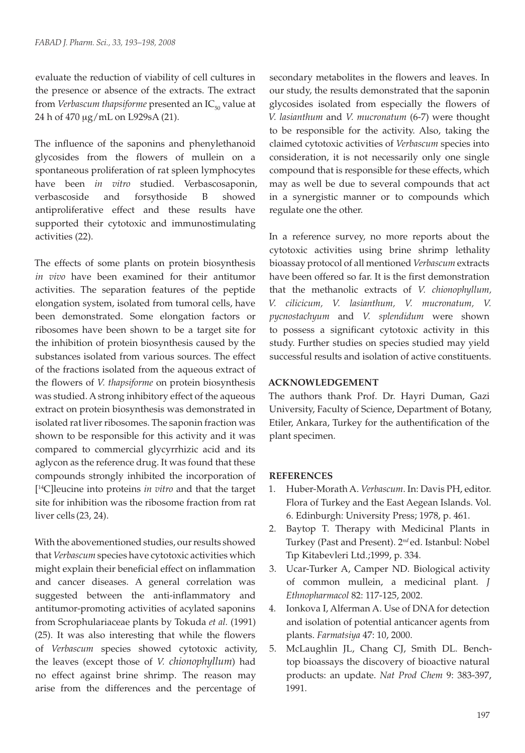evaluate the reduction of viability of cell cultures in the presence or absence of the extracts. The extract from *Verbascum thapsiforme* presented an IC<sub>50</sub> value at 24 h of 470 mg/mL on L929sA (21).

The influence of the saponins and phenylethanoid glycosides from the flowers of mullein on a spontaneous proliferation of rat spleen lymphocytes have been *in vitro* studied. Verbascosaponin, verbascoside and forsythoside B showed antiproliferative effect and these results have supported their cytotoxic and immunostimulating activities (22).

The effects of some plants on protein biosynthesis *in vivo* have been examined for their antitumor activities. The separation features of the peptide elongation system, isolated from tumoral cells, have been demonstrated. Some elongation factors or ribosomes have been shown to be a target site for the inhibition of protein biosynthesis caused by the substances isolated from various sources. The effect of the fractions isolated from the aqueous extract of the flowers of *V. thapsiforme* on protein biosynthesis was studied. A strong inhibitory effect of the aqueous extract on protein biosynthesis was demonstrated in isolated rat liver ribosomes. The saponin fraction was shown to be responsible for this activity and it was compared to commercial glycyrrhizic acid and its aglycon as the reference drug. It was found that these compounds strongly inhibited the incorporation of [ 14C]leucine into proteins *in vitro* and that the target site for inhibition was the ribosome fraction from rat liver cells (23, 24).

With the abovementioned studies, our results showed that *Verbascum* species have cytotoxic activities which might explain their beneficial effect on inflammation and cancer diseases. A general correlation was suggested between the anti-inflammatory and antitumor-promoting activities of acylated saponins from Scrophulariaceae plants by Tokuda *et al.* (1991) (25). It was also interesting that while the flowers of *Verbascum* species showed cytotoxic activity, the leaves (except those of *V. chionophyllum*) had no effect against brine shrimp. The reason may arise from the differences and the percentage of

secondary metabolites in the flowers and leaves. In our study, the results demonstrated that the saponin glycosides isolated from especially the flowers of *V. lasianthum* and *V. mucronatum* (6-7) were thought to be responsible for the activity. Also, taking the claimed cytotoxic activities of *Verbascum* species into consideration, it is not necessarily only one single compound that is responsible for these effects, which may as well be due to several compounds that act in a synergistic manner or to compounds which regulate one the other.

In a reference survey, no more reports about the cytotoxic activities using brine shrimp lethality bioassay protocol of all mentioned *Verbascum* extracts have been offered so far. It is the first demonstration that the methanolic extracts of *V. chionophyllum, V. cilicicum, V. lasianthum, V. mucronatum, V. pycnostachyum* and *V. splendidum* were shown to possess a significant cytotoxic activity in this study. Further studies on species studied may yield successful results and isolation of active constituents.

### **ACKNOWLEDGEMENT**

The authors thank Prof. Dr. Hayri Duman, Gazi University, Faculty of Science, Department of Botany, Etiler, Ankara, Turkey for the authentification of the plant specimen.

### **REFERENCES**

- 1. Huber-Morath A. *Verbascum*. In: Davis PH, editor. Flora of Turkey and the East Aegean Islands. Vol. 6. Edinburgh: University Press; 1978, p. 461.
- 2. Baytop T. Therapy with Medicinal Plants in Turkey (Past and Present). 2*nd* ed. Istanbul: Nobel Tıp Kitabevleri Ltd.;1999, p. 334.
- 3. Ucar-Turker A, Camper ND. Biological activity of common mullein, a medicinal plant. *J Ethnopharmacol* 82: 117-125, 2002.
- 4. Ionkova I, Alferman A. Use of DNA for detection and isolation of potential anticancer agents from plants. *Farmatsiya* 47: 10, 2000.
- 5. McLaughlin JL, Chang CJ, Smith DL. Benchtop bioassays the discovery of bioactive natural products: an update. *Nat Prod Chem* 9: 383-397, 1991.